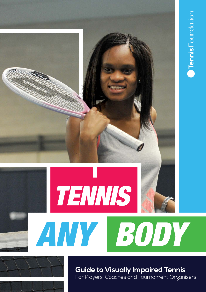



**Guide to Visually Impaired Tennis** For Players, Coaches and Tournament Organisers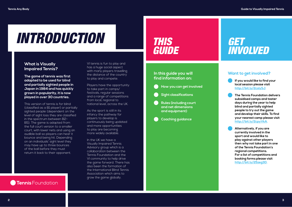# *INTRODUCTION*

# *THIS GUIDE*

# **What is Visually Impaired Tennis?**

**The game of tennis was first adapted to be used for blind and partially sighted people in Japan in 1984 and has quickly grown in popularity, it is now played in over 30 countries.**

This version of tennis is for blind (classified as a B1 player) or partially sighted people (dependent on the level of sight loss they are classified in the spectrum between B2- B5). The game is adapted from the full court version to a smaller court, with lower nets and using an audible ball so players can hear it bounce and being hit. Depending on an individuals' sight level they may have up to three bounces of the ball before they must return it back to their opponent.

**Tennis** Foundation

VI tennis is fun to play and has a huge social aspect with many players travelling the distance of the country to play and compete.

Players have the opportunity to take part in camps/ festivals, regular sessions and a range of competitions from local, regional to national level, across the UK.

As the sport is still in its infancy the pathway for players to develop is continuously being updated and more opportunities to play are becoming more widely available.

In the UK we have a Visually Impaired Tennis Advisory group which is a collaboration between the Tennis Foundation and the VI community to help drive the game forward. There has also been the formation of the International Blind Tennis Association which aims to grow the game globally.

# **In this guide you will find information on:**

- **How you can get involved**
- **Sight classifications**
- **Rules (including court and net dimensions and equipment)**
- **Coaching guidance**

# *GET INVOLVED*

# **Want to get involved?**



- **The Tennis Foundation delivers subsidised camps and taster days during the year to help blind and partially sighted people to try out the game and develop their skills. To find your nearest camp please visit <http://bit.ly/2cpyVkA>.**
- **Alternatively, if you are currently involved in the sport and would like to play against other players then why not take part in one of the Tennis Foundation's regional competitions. For a list of competitions and booking forms please visit [http://bit.ly/25zeg3D.](http://bit.ly/25zeg3D)**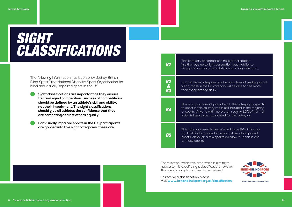# *SIGHT CLASSIFICATIONS*

The following information has been provided by British Blind Sport,\* the National Disability Sport Organisation for blind and visually impaired sport in the UK.

 **Sight classifications are important as they ensure fair and equal competition. Success at competitions should be defined by an athlete's skill and ability, not their impairment. The sight classifications should give all athletes the confidence that they are competing against others equally.**

 **For visually impaired sports in the UK, participants are graded into five sight categories, these are:**

| <b>B1</b>                  | This category encompasses no light perception<br>in either eye up to light perception, but inability to<br>recognise shapes at any distance or in any direction.                                                                                     |
|----------------------------|------------------------------------------------------------------------------------------------------------------------------------------------------------------------------------------------------------------------------------------------------|
| <b>B2<br/>&amp;<br/>B3</b> | Both of these categories involve a low level of usable partial<br>vision, those in the B3 category will be able to see more<br>than those graded as B2.                                                                                              |
| <b>B4</b>                  | This is a good level of partial sight, the category is specific<br>to sport in this country but is still included in the majority<br>of sports. Anyone with more than roughly 25% of normal<br>vision is likely to be too sighted for this category. |
| <b>B5</b>                  | This category used to be referred to as B4+, it has no<br>top limit and is banned in almost all visually impaired<br>sports, although a few sports do allow it. Tennis is one<br>of these sports.                                                    |

There is work within this area which is aiming to have a tennis specific sight classification, however this area is complex and yet to be defined.



To receive a classification please visit **<www.britishblindsport.org.uk/classification>.**



#### **4 5 [\\*www.britishblindsport.org.uk/classification](www.britishblindsport.org.uk/classification)**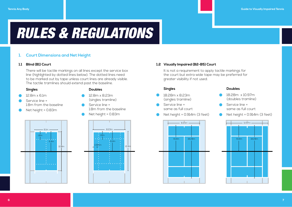# *RULES & REGULATIONS*

# **1. Court Dimensions and Net Height**

### **1.1 Blind (B1) Court**

 There will be tactile markings on all lines except the service box line (highlighted by dotted lines below). The dotted lines need to be marked out by tape unless court lines are already visible. The tactile tramlines should extend past the baseline.

# **Singles**

- 12.8m x 6.1m
- Service line = 1.8m from the baseline
- Net height = 0.83m



- 12.8m x 8.23m (singles tramline)
- Service line = 1.8m from the baseline
- Net height = 0.83m





### **1.2 Visually Impaired (B2-B5) Court**

 It is not a requirement to apply tactile markings for the court but extra wide tape may be preferred for greater visibility if not used.

#### **Singles**

- 18.28m x 8.23m (singles tramline)
- Service line = same as full court
- Net height = 0.914m (3 feet)



### **Doubles**

- 18.28m x 10.97m (doubles tramline)
- Service line = same as full court
- Net height = 0.914m (3 feet)

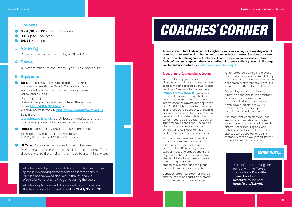#### **2. Bounces**

- **Blind (B1) and B2** = Up to 3 bounces
- **B3** = Up to 2 bounces
- $B4/B5 = 1$  bounce

## **3. Volleying**

Volleying is permitted for all players (B1-B5).

### **4. Serve**

All players must use the "ready" "yes" "play" procedure.

# **5. Equipment**

 **Balls:** You can use any audible ball on the market however, currently the Tennis Foundation have sanctioned competitions to use the Japanese yellow audible ball.

Japanese ball:

Balls can be purchased directly from the supplier Shoei: **<http://bit.ly/2clhhzX>** or from Vision4Growth in the UK: **[enquiries@vision4growth.org.uk](mailto:enquiries@vision4growth.org.uk).**

Buzz Balls:

**<www.buzzballs.co.uk>** is a UK based manufacturer that produces a popular alternative to the Japanese ball.

- **Rackets:** Domestically any racket size can be used. Internationally the maximum racket size is 23" (B1 court) and 25" (B2-B5 court).
- **B1 Mask:** Paralympic recognised mask to be used. Players must not remove their mask when competing. They should signal to the umpire if they need to alter it in any way.

All rules are subject to adaptations and changes as the game is developing domestically and internationally. All rules are reviewed annually in the UK and we often trial variations to the game during the year.

All rule adaptations and changes will be published on the Tennis Foundation website **[http://bit.ly/2cBhhM6.](http://bit.ly/2cBhhM6)**

# *COACHES' CORNER*

**Tennis sessions for blind and partially sighted players are a hugely rewarding aspect of tennis to get involved in, whether you are a coach or volunteer. Sessions are more effective with a strong support network of coaches and volunteers to help players feel confident moving around on court and learning tennis skills. If you would like to get involved please contact us: [info@tennisfoundation.org.uk](mailto:info@tennisfoundation.org.uk).**

# **Coaching Considerations**

When setting up your session think about an accessible venue (to see how to become an accessible venue, please read our Open Your Doors resource: **<http://bit.ly/2cDLsRz>**), good local transport, provision for guide dogs and a quiet environment to reduce interference for players listening to the ball. Artificial lights may affect players in different ways so check with them in advance and use tactile markers where necessary. It is preferable to play tennis indoors as it is easier to control light and noise conditions. Sound balls also work better in dry conditions without wind, so indoor tennis or badminton courts are good options.

Try to ensure there are accessible transport networks nearby as this can be a significant barrier to participation. Players may share taxis or meet at a station and travel together to the venue. Venues may also want to look into meeting players at a pre-agreed location (train station or bus stop) and the group then walks to the venue together.

Consider 'colour contrast' for players and the coach on court. For example it may be best for players to wear

lighter coloured clothing if the court background is dark or darker clothing if the background is light. Also, the Sound ball comes in different colours so it is in contrast to the colour of the court.

Depending on the participants. it may be beneficial to use assistant coaches or volunteers to help with any additional requirements. If you have blind players you will definitely need extra support so take this into consideration.

It is important when planning your sessions or competitions to take into account other visually impaired sports. Check local, regional and national calendars for clashes with sports such as goalball and blind football. A session would work better if you link in with other sports.

# *MORE INFO...*

More info on coaching can be found in the Tennis Foundation's **Disability Tennis Coaching Resource** found here: **[http://bit.ly/2cljA61.](http://bit.ly/2cljA61)**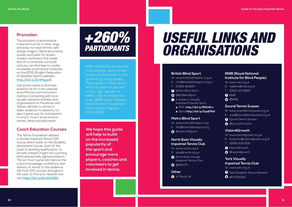# **Promotion**

The provision of promotional material must be in clear, large, and easy-to-read format, with simple imagery. Word documents usually work best for screen readers (software that reads text on a computer out loud) and you can find help to create accessible promotional materials on the EFDS (English Federation of Disability Sport) website **[http://bit.ly/2cWbgw8.](http://bit.ly/2cWbgw8)**

Use social media to promote sessions as it's a very popular and effective communication method. Connecting with local visually impaired charities and organisations on Facebook and Twitter will help to attract a wider audience to sessions. It's also a great way for participants to stay in touch, share photos, stories, ideas and discussion.

# **Coach Education Courses**

The Tennis Foundation delivers a Visually Impaired Tennis CPD course which builds on the Disability Awareness Course, (part of the Level 3 coaching qualification), to provide indepth insight into coaching blind and partially sightexd players. The six-hour course will improve the coach's knowledge, confidence and delivery of tennis to this audience. We host CPD courses throughout the year; to find your nearest one visit **<http://bit.ly/2cWbWBS>.**



With ambitions to become a paralympic sport in the future participation in this game is growing quickly. Participation in the sport which is open to anyone of any age, gender or ability, has increased by over 260% since January 2014 (Tennis Foundation Participation Figures 2014-2016).

**We hope this guide will help to build on the increased popularity of the sport and encourage more players, coaches and volunteers to get involved in tennis.**

# *USEFUL LINKS AND ORGANISATIONS*

#### **British Blind Sport**

- W: <www.britishblindsport.org.uk>
- E: [info@britishblindsport.org.uk](mailto:info@britishblindsport.org.uk)
- T: 01926 424247
- **A** [British Blind Sport](https://www.facebook.com/BritishBlindSport)
- **O** @BritBlindSport
- A Guide to Visually Impaired Friendly Sport
- PDF: **<http://bit.ly/1RGn6rx>**
- Word: **<http://bit.ly/2cpEP54>**

#### **Metro Blind Sport**

- W: <www.metroblindsport.org>
- E: info@metroblindsport.org
- **O** [@metroVISports](https://twitter.com/metrovisports)

### **North East Visually Impaired Tennis Club**

- W: <www.nevitc.org.uk>
- E: [play@nevitc.org.uk](mailto:play@nevitc.org.uk)
- **A** North East Visually [Impaired Tennis Club](https://www.facebook.com/NEVITennis)
- **O [@NEVITC](https://twitter.com/NEVITC)**

#### **Other**

**O** VI Tennis UK

### **RNIB (Royal National Institute for Blind People)**

- W: <www.rnib.org.uk>
- E: [helpline@rnib.org.uk](mailto:helpline@rnib.org.uk)
- T: 0303 123 9999
- **A** [RNIB](https://www.facebook.com/rnibuk)
- **O** [@RNIB](https://twitter.com/rnib)

### **Sound Tennis Sussex**

- W: <www.soundtennissussex.org.uk>
- E: [paul@soundtennissussex.org.uk](mailto:paul@soundtennissussex.org.uk)
- **6** [Sound Tennis Sussex](https://www.facebook.com/groups/Soundtennissussex/)
- **@** [@SoundTennisSx](https://twitter.com/SoundTennisSx)

#### **Vision4Growth**

- W: <www.vision4growth.org.uk>
- E: [enquiries@vision4growth.org.uk](mailto:enquiries@vision4growth.org.uk)
- T: 01992 635 600
- **O** [Vision4Growth](https://www.facebook.com/vision4growth/)
- **O** [@vision4growth](https://twitter.com/vision4growth)

# **York Visually Impaired Tennis Club**

- W: <www.ydtn.org.uk>
- **O** [York Disability Tennis Network](https://www.facebook.com/yorkdisabilitytennisnetwork?fref=ts)  $\bullet$  [@YDTN2014](https://twitter.com/YDTN2014)